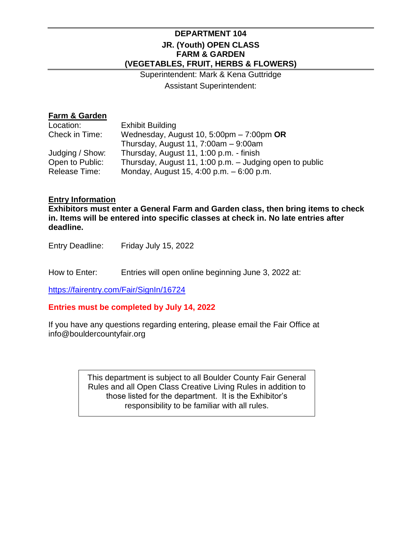## **DEPARTMENT 104 JR. (Youth) OPEN CLASS FARM & GARDEN (VEGETABLES, FRUIT, HERBS & FLOWERS)**

Superintendent: Mark & Kena Guttridge Assistant Superintendent:

## **Farm & Garden**

| Wednesday, August 10, 5:00pm $-7:00$ pm OR              |
|---------------------------------------------------------|
|                                                         |
|                                                         |
| Thursday, August 11, 1:00 p.m. - Judging open to public |
|                                                         |
|                                                         |

#### **Entry Information**

**Exhibitors must enter a General Farm and Garden class, then bring items to check in. Items will be entered into specific classes at check in. No late entries after deadline.**

Entry Deadline: Friday July 15, 2022

How to Enter: Entries will open online beginning June 3, 2022 at:

<https://fairentry.com/Fair/SignIn/16724>

#### **Entries must be completed by July 14, 2022**

If you have any questions regarding entering, please email the Fair Office at info@bouldercountyfair.org

> This department is subject to all Boulder County Fair General Rules and all Open Class Creative Living Rules in addition to those listed for the department. It is the Exhibitor's responsibility to be familiar with all rules.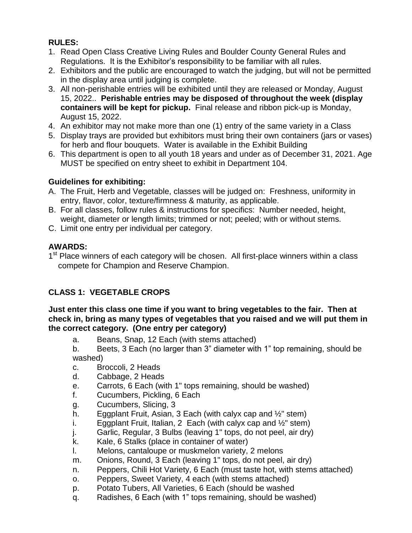# **RULES:**

- 1. Read Open Class Creative Living Rules and Boulder County General Rules and Regulations. It is the Exhibitor's responsibility to be familiar with all rules.
- 2. Exhibitors and the public are encouraged to watch the judging, but will not be permitted in the display area until judging is complete.
- 3. All non-perishable entries will be exhibited until they are released or Monday, August 15, 2022.. **Perishable entries may be disposed of throughout the week (display containers will be kept for pickup.** Final release and ribbon pick-up is Monday, August 15, 2022.
- 4. An exhibitor may not make more than one (1) entry of the same variety in a Class
- 5. Display trays are provided but exhibitors must bring their own containers (jars or vases) for herb and flour bouquets. Water is available in the Exhibit Building
- 6. This department is open to all youth 18 years and under as of December 31, 2021. Age MUST be specified on entry sheet to exhibit in Department 104.

# **Guidelines for exhibiting:**

- A. The Fruit, Herb and Vegetable, classes will be judged on: Freshness, uniformity in entry, flavor, color, texture/firmness & maturity, as applicable.
- B. For all classes, follow rules & instructions for specifics: Number needed, height, weight, diameter or length limits; trimmed or not; peeled; with or without stems.
- C. Limit one entry per individual per category.

# **AWARDS:**

1<sup>st</sup> Place winners of each category will be chosen. All first-place winners within a class compete for Champion and Reserve Champion.

# **CLASS 1: VEGETABLE CROPS**

### **Just enter this class one time if you want to bring vegetables to the fair. Then at check in, bring as many types of vegetables that you raised and we will put them in the correct category. (One entry per category)**

- a. Beans, Snap, 12 Each (with stems attached)
- b. Beets, 3 Each (no larger than 3" diameter with 1" top remaining, should be washed)
- c. Broccoli, 2 Heads
- d. Cabbage, 2 Heads
- e. Carrots, 6 Each (with 1" tops remaining, should be washed)
- f. Cucumbers, Pickling, 6 Each
- g. Cucumbers, Slicing, 3
- h. Eggplant Fruit, Asian, 3 Each (with calyx cap and  $\frac{1}{2}$ " stem)
- i. Eggplant Fruit, Italian, 2 Each (with calyx cap and  $\frac{1}{2}$ " stem)
- j. Garlic, Regular, 3 Bulbs (leaving 1" tops, do not peel, air dry)
- k. Kale, 6 Stalks (place in container of water)
- l. Melons, cantaloupe or muskmelon variety, 2 melons
- m. Onions, Round, 3 Each (leaving 1" tops, do not peel, air dry)
- n. Peppers, Chili Hot Variety, 6 Each (must taste hot, with stems attached)
- o. Peppers, Sweet Variety, 4 each (with stems attached)
- p. Potato Tubers, All Varieties, 6 Each (should be washed
- q. Radishes, 6 Each (with 1" tops remaining, should be washed)